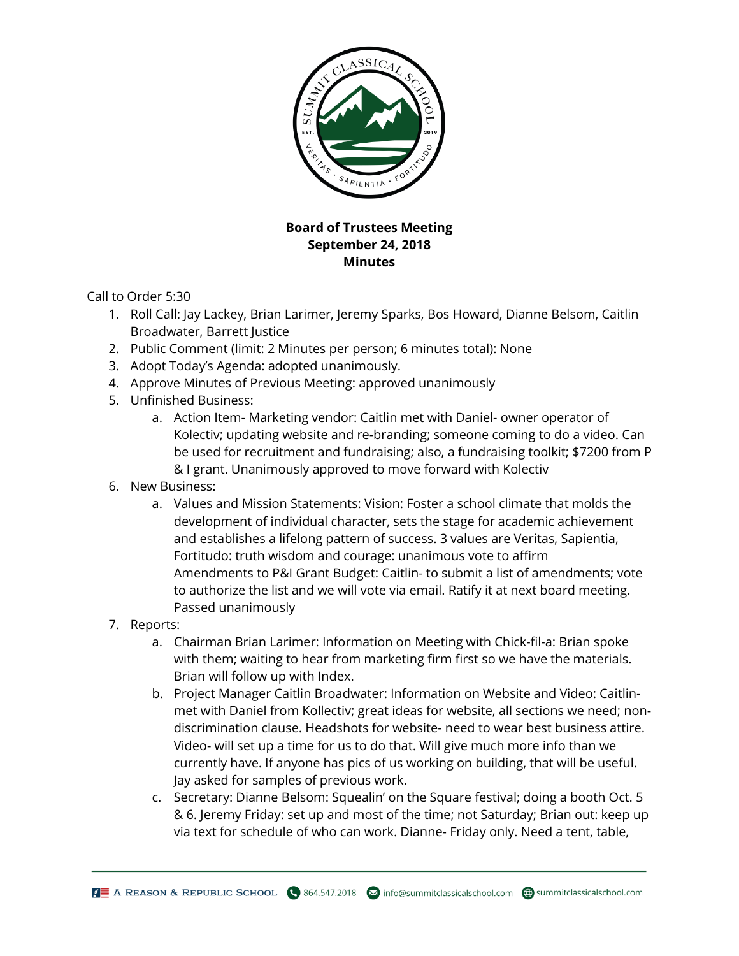

## **Board of Trustees Meeting September 24, 2018 Minutes**

Call to Order 5:30

- 1. Roll Call: Jay Lackey, Brian Larimer, Jeremy Sparks, Bos Howard, Dianne Belsom, Caitlin Broadwater, Barrett Justice
- 2. Public Comment (limit: 2 Minutes per person; 6 minutes total): None
- 3. Adopt Today's Agenda: adopted unanimously.
- 4. Approve Minutes of Previous Meeting: approved unanimously
- 5. Unfinished Business:
	- a. Action Item- Marketing vendor: Caitlin met with Daniel- owner operator of Kolectiv; updating website and re-branding; someone coming to do a video. Can be used for recruitment and fundraising; also, a fundraising toolkit; \$7200 from P & I grant. Unanimously approved to move forward with Kolectiv
- 6. New Business:
	- a. Values and Mission Statements: Vision: Foster a school climate that molds the development of individual character, sets the stage for academic achievement and establishes a lifelong pattern of success. 3 values are Veritas, Sapientia, Fortitudo: truth wisdom and courage: unanimous vote to affirm Amendments to P&I Grant Budget: Caitlin- to submit a list of amendments; vote to authorize the list and we will vote via email. Ratify it at next board meeting. Passed unanimously
- 7. Reports:
	- a. Chairman Brian Larimer: Information on Meeting with Chick-fil-a: Brian spoke with them; waiting to hear from marketing firm first so we have the materials. Brian will follow up with Index.
	- b. Project Manager Caitlin Broadwater: Information on Website and Video: Caitlinmet with Daniel from Kollectiv; great ideas for website, all sections we need; nondiscrimination clause. Headshots for website- need to wear best business attire. Video- will set up a time for us to do that. Will give much more info than we currently have. If anyone has pics of us working on building, that will be useful. Jay asked for samples of previous work.
	- c. Secretary: Dianne Belsom: Squealin' on the Square festival; doing a booth Oct. 5 & 6. Jeremy Friday: set up and most of the time; not Saturday; Brian out: keep up via text for schedule of who can work. Dianne- Friday only. Need a tent, table,